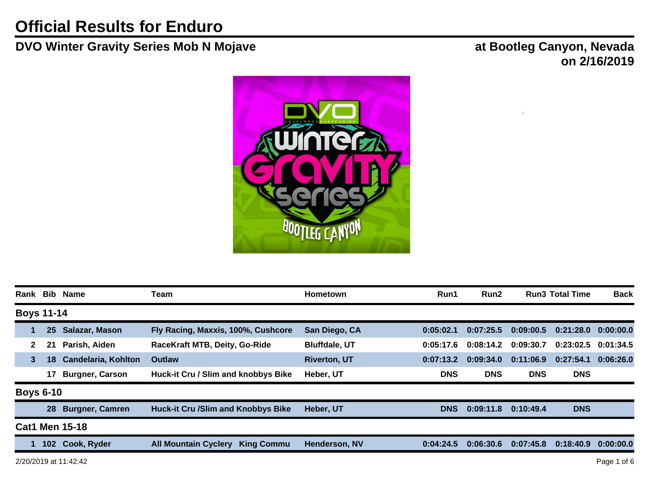## **DVO Winter Gravity Series Mob N Mojave at Bootleg Canyon, Nevada**

**on 2/16/2019**



| Rank                  |              |                  | <b>Bib Name</b>            | Team                                             | <b>Hometown</b>      | Run1       | Run2       |            | <b>Run3 Total Time</b> | <b>Back</b> |
|-----------------------|--------------|------------------|----------------------------|--------------------------------------------------|----------------------|------------|------------|------------|------------------------|-------------|
| <b>Boys 11-14</b>     |              |                  |                            |                                                  |                      |            |            |            |                        |             |
|                       |              | 25               | Salazar, Mason             | Fly Racing, Maxxis, 100%, Cushcore               | San Diego, CA        | 0:05:02.1  | 0:07:25.5  | 0:09:00.5  | 0:21:28.0              | 0:00:00.0   |
|                       | $\mathbf{2}$ | 21               | Parish, Aiden              | RaceKraft MTB, Deity, Go-Ride                    | <b>Bluffdale, UT</b> | 0:05:17.6  | 0:08:14.2  | 0:09:30.7  | 0:23:02.5              | 0:01:34.5   |
|                       | 3            | 18 <sup>°</sup>  | <b>Candelaria, Kohlton</b> | <b>Outlaw</b>                                    | <b>Riverton, UT</b>  | 0:07:13.2  | 0:09:34.0  | 0:11:06.9  | 0:27:54.1              | 0:06:26.0   |
|                       |              | 17               | <b>Burgner, Carson</b>     | Huck-it Cru / Slim and knobbys Bike              | Heber, UT            | <b>DNS</b> | <b>DNS</b> | <b>DNS</b> | <b>DNS</b>             |             |
|                       |              | <b>Boys 6-10</b> |                            |                                                  |                      |            |            |            |                        |             |
|                       |              | 28               | <b>Burgner, Camren</b>     | <b>Huck-it Cru /Slim and Knobbys Bike</b>        | Heber, UT            | <b>DNS</b> | 0:09:11.8  | 0:10:49.4  | <b>DNS</b>             |             |
| <b>Cat1 Men 15-18</b> |              |                  |                            |                                                  |                      |            |            |            |                        |             |
|                       |              | 102 <sub>2</sub> | Cook, Ryder                | <b>All Mountain Cyclery</b><br><b>King Commu</b> | Henderson, NV        | 0:04:24.5  | 0:06:30.6  | 0:07:45.8  | 0:18:40.9              | 0:00:00.0   |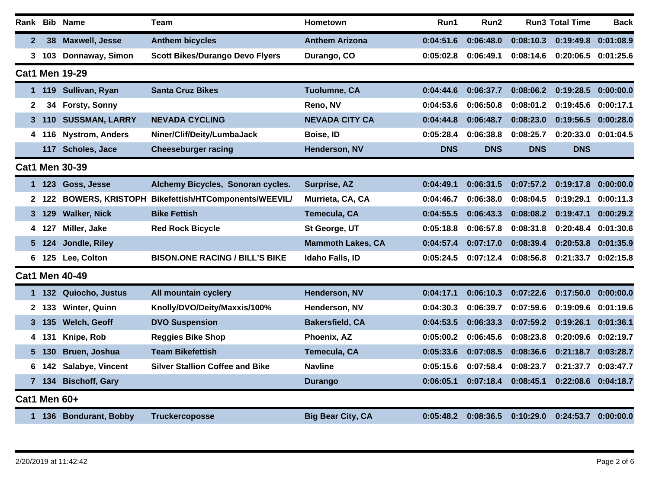|                       |                |       | Rank Bib Name          | <b>Team</b>                                       | Hometown                 | Run1       | Run2       |            | <b>Run3 Total Time</b> | <b>Back</b> |
|-----------------------|----------------|-------|------------------------|---------------------------------------------------|--------------------------|------------|------------|------------|------------------------|-------------|
|                       | $\mathbf{2}$   | 38    | <b>Maxwell, Jesse</b>  | <b>Anthem bicycles</b>                            | <b>Anthem Arizona</b>    | 0:04:51.6  | 0:06:48.0  | 0:08:10.3  | 0:19:49.8              | 0:01:08.9   |
|                       | 3              |       | 103 Donnaway, Simon    | <b>Scott Bikes/Durango Devo Flyers</b>            | Durango, CO              | 0:05:02.8  | 0:06:49.1  | 0:08:14.6  | 0:20:06.5              | 0:01:25.6   |
|                       |                |       | <b>Cat1 Men 19-29</b>  |                                                   |                          |            |            |            |                        |             |
|                       | 1.             | 119   | Sullivan, Ryan         | <b>Santa Cruz Bikes</b>                           | <b>Tuolumne, CA</b>      | 0:04:44.6  | 0:06:37.7  | 0:08:06.2  | 0:19:28.5              | 0:00:00.0   |
|                       | 2              | 34    | Forsty, Sonny          |                                                   | Reno, NV                 | 0:04:53.6  | 0:06:50.8  | 0:08:01.2  | 0:19:45.6              | 0:00:17.1   |
|                       | 3              | 110   | <b>SUSSMAN, LARRY</b>  | <b>NEVADA CYCLING</b>                             | <b>NEVADA CITY CA</b>    | 0:04:44.8  | 0:06:48.7  | 0:08:23.0  | 0:19:56.5              | 0:00:28.0   |
|                       | 4              | 116   | <b>Nystrom, Anders</b> | Niner/Clif/Deity/LumbaJack                        | Boise, ID                | 0:05:28.4  | 0:06:38.8  | 0:08:25.7  | 0:20:33.0              | 0:01:04.5   |
|                       |                | 117   | Scholes, Jace          | <b>Cheeseburger racing</b>                        | Henderson, NV            | <b>DNS</b> | <b>DNS</b> | <b>DNS</b> | <b>DNS</b>             |             |
| <b>Cat1 Men 30-39</b> |                |       |                        |                                                   |                          |            |            |            |                        |             |
|                       | 1.             | 123   | Goss, Jesse            | Alchemy Bicycles, Sonoran cycles.                 | Surprise, AZ             | 0:04:49.1  | 0:06:31.5  | 0:07:57.2  | 0:19:17.8              | 0:00:00.0   |
|                       | $\mathbf{2}^-$ | 122   |                        | BOWERS, KRISTOPH Bikefettish/HTComponents/WEEVIL/ | Murrieta, CA, CA         | 0:04:46.7  | 0:06:38.0  | 0:08:04.5  | 0:19:29.1              | 0:00:11.3   |
|                       | 3              | 129   | <b>Walker, Nick</b>    | <b>Bike Fettish</b>                               | Temecula, CA             | 0:04:55.5  | 0:06:43.3  | 0:08:08.2  | 0:19:47.1              | 0:00:29.2   |
|                       | 4              | 127   | Miller, Jake           | <b>Red Rock Bicycle</b>                           | St George, UT            | 0:05:18.8  | 0:06:57.8  | 0:08:31.8  | 0:20:48.4              | 0:01:30.6   |
|                       | 5.             | 124   | Jondle, Riley          |                                                   | <b>Mammoth Lakes, CA</b> | 0:04:57.4  | 0:07:17.0  | 0:08:39.4  | 0:20:53.8              | 0:01:35.9   |
|                       | 6              | 125   | Lee, Colton            | <b>BISON.ONE RACING / BILL'S BIKE</b>             | Idaho Falls, ID          | 0:05:24.5  | 0:07:12.4  | 0:08:56.8  | 0:21:33.7              | 0:02:15.8   |
|                       |                |       | <b>Cat1 Men 40-49</b>  |                                                   |                          |            |            |            |                        |             |
|                       | 1.             | 132   | Quiocho, Justus        | All mountain cyclery                              | Henderson, NV            | 0:04:17.1  | 0:06:10.3  | 0:07:22.6  | 0:17:50.0              | 0:00:00.0   |
|                       |                | 2 133 | <b>Winter, Quinn</b>   | Knolly/DVO/Deity/Maxxis/100%                      | Henderson, NV            | 0:04:30.3  | 0:06:39.7  | 0:07:59.6  | 0:19:09.6              | 0:01:19.6   |
|                       | 3.             | 135   | Welch, Geoff           | <b>DVO Suspension</b>                             | <b>Bakersfield, CA</b>   | 0:04:53.5  | 0:06:33.3  | 0:07:59.2  | 0:19:26.1              | 0:01:36.1   |
|                       | 4              | 131   | Knipe, Rob             | <b>Reggies Bike Shop</b>                          | Phoenix, AZ              | 0:05:00.2  | 0:06:45.6  | 0:08:23.8  | 0:20:09.6              | 0:02:19.7   |
|                       | 5.             | 130   | Bruen, Joshua          | <b>Team Bikefettish</b>                           | Temecula, CA             | 0:05:33.6  | 0:07:08.5  | 0:08:36.6  | 0:21:18.7              | 0:03:28.7   |
|                       | 6              | 142   | Salabye, Vincent       | <b>Silver Stallion Coffee and Bike</b>            | <b>Navline</b>           | 0:05:15.6  | 0:07:58.4  | 0:08:23.7  | 0:21:37.7              | 0:03:47.7   |
|                       | 7 <sup>7</sup> | 134   | <b>Bischoff, Gary</b>  |                                                   | <b>Durango</b>           | 0:06:05.1  | 0:07:18.4  | 0:08:45.1  | 0:22:08.6              | 0:04:18.7   |
|                       |                |       | Cat1 Men 60+           |                                                   |                          |            |            |            |                        |             |
|                       |                |       | 1 136 Bondurant, Bobby | <b>Truckercoposse</b>                             | <b>Big Bear City, CA</b> | 0:05:48.2  | 0:08:36.5  | 0:10:29.0  | 0:24:53.7              | 0:00:00.0   |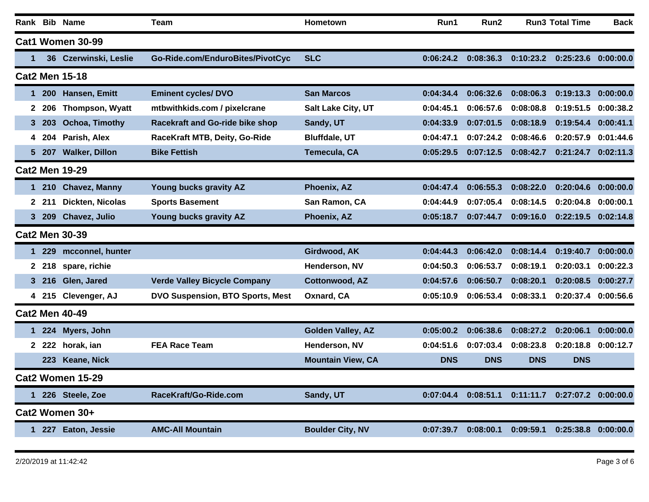|                       |                       |            | Rank Bib Name           | <b>Team</b>                            | Hometown                 | Run1       | Run2       |            | <b>Run3 Total Time</b>              | Back      |
|-----------------------|-----------------------|------------|-------------------------|----------------------------------------|--------------------------|------------|------------|------------|-------------------------------------|-----------|
|                       |                       |            | Cat1 Women 30-99        |                                        |                          |            |            |            |                                     |           |
|                       | 1                     |            | 36 Czerwinski, Leslie   | Go-Ride.com/EnduroBites/PivotCyc       | <b>SLC</b>               | 0:06:24.2  | 0:08:36.3  |            | $0:10:23.2$ $0:25:23.6$ $0:00:00.0$ |           |
|                       | <b>Cat2 Men 15-18</b> |            |                         |                                        |                          |            |            |            |                                     |           |
|                       | 1                     | <b>200</b> | Hansen, Emitt           | <b>Eminent cycles/DVO</b>              | <b>San Marcos</b>        | 0:04:34.4  | 0:06:32.6  | 0:08:06.3  | 0:19:13.3                           | 0:00:00.0 |
|                       |                       | 2 206      | Thompson, Wyatt         | mtbwithkids.com / pixelcrane           | Salt Lake City, UT       | 0:04:45.1  | 0:06:57.6  | 0:08:08.8  | 0:19:51.5                           | 0:00:38.2 |
|                       | 3                     | -203       | Ochoa, Timothy          | <b>Racekraft and Go-ride bike shop</b> | Sandy, UT                | 0:04:33.9  | 0:07:01.5  | 0:08:18.9  | 0:19:54.4                           | 0:00:41.1 |
|                       | 4                     | -204       | Parish, Alex            | RaceKraft MTB, Deity, Go-Ride          | <b>Bluffdale, UT</b>     | 0:04:47.1  | 0:07:24.2  | 0:08:46.6  | 0:20:57.9                           | 0:01:44.6 |
|                       | $5^{\circ}$           | 207        | <b>Walker, Dillon</b>   | <b>Bike Fettish</b>                    | Temecula, CA             | 0:05:29.5  | 0:07:12.5  | 0:08:42.7  | 0:21:24.7                           | 0:02:11.3 |
| <b>Cat2 Men 19-29</b> |                       |            |                         |                                        |                          |            |            |            |                                     |           |
|                       | $\mathbf 1$           | 210        | <b>Chavez, Manny</b>    | Young bucks gravity AZ                 | Phoenix, AZ              | 0:04:47.4  | 0:06:55.3  | 0:08:22.0  | 0:20:04.6                           | 0:00:00.0 |
|                       |                       | 2 211      | Dickten, Nicolas        | <b>Sports Basement</b>                 | San Ramon, CA            | 0:04:44.9  | 0:07:05.4  | 0:08:14.5  | 0:20:04.8                           | 0:00:00.1 |
|                       |                       | 3 209      | Chavez, Julio           | Young bucks gravity AZ                 | Phoenix, AZ              | 0:05:18.7  | 0:07:44.7  | 0:09:16.0  | 0:22:19.5                           | 0:02:14.8 |
| <b>Cat2 Men 30-39</b> |                       |            |                         |                                        |                          |            |            |            |                                     |           |
|                       |                       | 1 229      | mcconnel, hunter        |                                        | Girdwood, AK             | 0:04:44.3  | 0:06:42.0  | 0:08:14.4  | 0:19:40.7                           | 0:00:00.0 |
|                       |                       | 2 218      | spare, richie           |                                        | Henderson, NV            | 0:04:50.3  | 0:06:53.7  | 0:08:19.1  | 0:20:03.1                           | 0:00:22.3 |
|                       |                       | 3 216      | Glen, Jared             | <b>Verde Valley Bicycle Company</b>    | <b>Cottonwood, AZ</b>    | 0:04:57.6  | 0:06:50.7  | 0:08:20.1  | 0:20:08.5                           | 0:00:27.7 |
|                       |                       |            | 4 215 Clevenger, AJ     | DVO Suspension, BTO Sports, Mest       | Oxnard, CA               | 0:05:10.9  | 0:06:53.4  | 0:08:33.1  | 0:20:37.4                           | 0:00:56.6 |
|                       |                       |            | <b>Cat2 Men 40-49</b>   |                                        |                          |            |            |            |                                     |           |
|                       |                       | 1 224      | Myers, John             |                                        | <b>Golden Valley, AZ</b> | 0:05:00.2  | 0:06:38.6  | 0:08:27.2  | 0:20:06.1                           | 0:00:00.0 |
|                       |                       |            | horak, ian              | <b>FEA Race Team</b>                   | Henderson, NV            | 0:04:51.6  | 0:07:03.4  | 0:08:23.8  | 0:20:18.8                           | 0:00:12.7 |
|                       |                       | 223        | <b>Keane, Nick</b>      |                                        | <b>Mountain View, CA</b> | <b>DNS</b> | <b>DNS</b> | <b>DNS</b> | <b>DNS</b>                          |           |
|                       |                       |            | <b>Cat2 Women 15-29</b> |                                        |                          |            |            |            |                                     |           |
|                       |                       |            | 1 226 Steele, Zoe       | RaceKraft/Go-Ride.com                  | Sandy, UT                | 0:07:04.4  | 0:08:51.1  | 0:11:11.7  | 0:27:07.2 0:00:00.0                 |           |
|                       |                       |            | Cat2 Women 30+          |                                        |                          |            |            |            |                                     |           |
|                       |                       |            | 1 227 Eaton, Jessie     | <b>AMC-All Mountain</b>                | <b>Boulder City, NV</b>  | 0:07:39.7  | 0:08:00.1  | 0:09:59.1  | 0:25:38.8                           | 0:00:00.0 |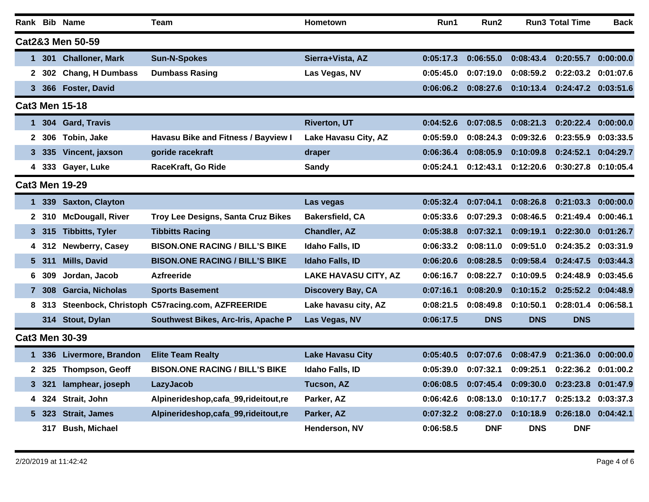|                       |                    | Rank Bib Name           | Team                                           | Hometown                    | Run1      | Run2       |            | <b>Run3 Total Time</b> | Back      |
|-----------------------|--------------------|-------------------------|------------------------------------------------|-----------------------------|-----------|------------|------------|------------------------|-----------|
|                       |                    | Cat2&3 Men 50-59        |                                                |                             |           |            |            |                        |           |
|                       | 1.                 | 301 Challoner, Mark     | <b>Sun-N-Spokes</b>                            | Sierra+Vista, AZ            | 0:05:17.3 | 0:06:55.0  | 0:08:43.4  | 0:20:55.7 0:00:00.0    |           |
|                       | 2 302              | <b>Chang, H Dumbass</b> | <b>Dumbass Rasing</b>                          | Las Vegas, NV               | 0:05:45.0 | 0:07:19.0  | 0:08:59.2  | 0:22:03.2              | 0:01:07.6 |
|                       | 3<br>366           | <b>Foster, David</b>    |                                                |                             | 0:06:06.2 | 0:08:27.6  | 0:10:13.4  | 0:24:47.2 0:03:51.6    |           |
|                       |                    | <b>Cat3 Men 15-18</b>   |                                                |                             |           |            |            |                        |           |
|                       | 1.                 | 304 Gard, Travis        |                                                | <b>Riverton, UT</b>         | 0:04:52.6 | 0:07:08.5  | 0:08:21.3  | 0:20:22.4 0:00:00.0    |           |
|                       | 2<br>306           | Tobin, Jake             | <b>Havasu Bike and Fitness / Bayview I</b>     | Lake Havasu City, AZ        | 0:05:59.0 | 0:08:24.3  | 0:09:32.6  | 0:23:55.9              | 0:03:33.5 |
|                       | 335<br>3.          | Vincent, jaxson         | goride racekraft                               | draper                      | 0:06:36.4 | 0:08:05.9  | 0:10:09.8  | 0:24:52.1              | 0:04:29.7 |
|                       |                    | 4 333 Gayer, Luke       | RaceKraft, Go Ride                             | Sandy                       | 0:05:24.1 | 0:12:43.1  | 0:12:20.6  | 0:30:27.8 0:10:05.4    |           |
| <b>Cat3 Men 19-29</b> |                    |                         |                                                |                             |           |            |            |                        |           |
|                       | 339<br>$\mathbf 1$ | <b>Saxton, Clayton</b>  |                                                | Las vegas                   | 0:05:32.4 | 0:07:04.1  | 0:08:26.8  | 0:21:03.3 0:00:00.0    |           |
|                       | $\mathbf 2$<br>310 | <b>McDougall, River</b> | Troy Lee Designs, Santa Cruz Bikes             | <b>Bakersfield, CA</b>      | 0:05:33.6 | 0:07:29.3  | 0:08:46.5  | 0:21:49.4              | 0:00:46.1 |
|                       | 3 315              | <b>Tibbitts, Tyler</b>  | <b>Tibbitts Racing</b>                         | <b>Chandler, AZ</b>         | 0:05:38.8 | 0:07:32.1  | 0:09:19.1  | 0:22:30.0              | 0:01:26.7 |
|                       | 312<br>4           | Newberry, Casey         | <b>BISON.ONE RACING / BILL'S BIKE</b>          | Idaho Falls, ID             | 0:06:33.2 | 0:08:11.0  | 0:09:51.0  | 0:24:35.2 0:03:31.9    |           |
|                       | 5.<br>-311         | <b>Mills, David</b>     | <b>BISON.ONE RACING / BILL'S BIKE</b>          | <b>Idaho Falls, ID</b>      | 0:06:20.6 | 0:08:28.5  | 0:09:58.4  | 0:24:47.5              | 0:03:44.3 |
|                       | 309<br>6           | Jordan, Jacob           | <b>Azfreeride</b>                              | <b>LAKE HAVASU CITY, AZ</b> | 0:06:16.7 | 0:08:22.7  | 0:10:09.5  | 0:24:48.9              | 0:03:45.6 |
|                       | 308<br>7           | Garcia, Nicholas        | <b>Sports Basement</b>                         | Discovery Bay, CA           | 0:07:16.1 | 0:08:20.9  | 0:10:15.2  | 0:25:52.2 0:04:48.9    |           |
|                       | 8.<br>313          |                         | Steenbock, Christoph C57racing.com, AZFREERIDE | Lake havasu city, AZ        | 0:08:21.5 | 0:08:49.8  | 0:10:50.1  | 0:28:01.4              | 0:06:58.1 |
|                       |                    | 314 Stout, Dylan        | Southwest Bikes, Arc-Iris, Apache P            | Las Vegas, NV               | 0:06:17.5 | <b>DNS</b> | <b>DNS</b> | <b>DNS</b>             |           |
|                       |                    | <b>Cat3 Men 30-39</b>   |                                                |                             |           |            |            |                        |           |
|                       | 336<br>1.          | Livermore, Brandon      | <b>Elite Team Realty</b>                       | <b>Lake Havasu City</b>     | 0:05:40.5 | 0:07:07.6  | 0:08:47.9  | 0:21:36.0              | 0:00:00.0 |
|                       | 325<br>2           | Thompson, Geoff         | <b>BISON.ONE RACING / BILL'S BIKE</b>          | Idaho Falls, ID             | 0:05:39.0 | 0:07:32.1  | 0:09:25.1  | 0:22:36.2              | 0:01:00.2 |
|                       | 3 321              | lamphear, joseph        | LazyJacob                                      | <b>Tucson, AZ</b>           | 0:06:08.5 | 0:07:45.4  | 0:09:30.0  | 0:23:23.8              | 0:01:47.9 |
|                       | 324<br>4           | Strait, John            | Alpinerideshop,cafa_99,rideitout,re            | Parker, AZ                  | 0:06:42.6 | 0:08:13.0  | 0:10:17.7  | 0:25:13.2              | 0:03:37.3 |
|                       | 5 323              | <b>Strait, James</b>    | Alpinerideshop,cafa_99,rideitout,re            | Parker, AZ                  | 0:07:32.2 | 0:08:27.0  | 0:10:18.9  | 0:26:18.0              | 0:04:42.1 |
|                       | 317                | <b>Bush, Michael</b>    |                                                | Henderson, NV               | 0:06:58.5 | <b>DNF</b> | <b>DNS</b> | <b>DNF</b>             |           |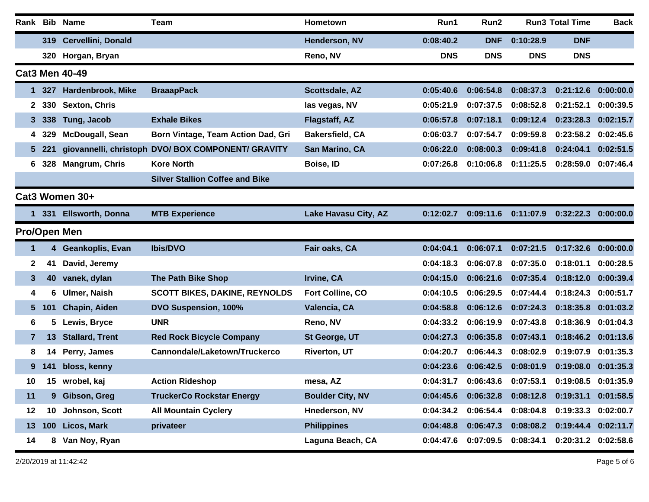|                 |                 | Rank Bib Name           | <b>Team</b>                                        | Hometown                | Run1       | Run2       |            | <b>Run3 Total Time</b> | <b>Back</b> |  |
|-----------------|-----------------|-------------------------|----------------------------------------------------|-------------------------|------------|------------|------------|------------------------|-------------|--|
|                 |                 | 319 Cervellini, Donald  |                                                    | Henderson, NV           | 0:08:40.2  | <b>DNF</b> | 0:10:28.9  | <b>DNF</b>             |             |  |
|                 |                 | 320 Horgan, Bryan       |                                                    | Reno, NV                | <b>DNS</b> | <b>DNS</b> | <b>DNS</b> | <b>DNS</b>             |             |  |
|                 |                 | <b>Cat3 Men 40-49</b>   |                                                    |                         |            |            |            |                        |             |  |
| 1.              | 327             | Hardenbrook, Mike       | <b>BraaapPack</b>                                  | Scottsdale, AZ          | 0:05:40.6  | 0:06:54.8  | 0:08:37.3  | 0:21:12.6 0:00:00.0    |             |  |
| 2               | 330             | Sexton, Chris           |                                                    | las vegas, NV           | 0:05:21.9  | 0:07:37.5  | 0:08:52.8  | 0:21:52.1              | 0:00:39.5   |  |
| 3.              | 338             | Tung, Jacob             | <b>Exhale Bikes</b>                                | Flagstaff, AZ           | 0:06:57.8  | 0:07:18.1  | 0:09:12.4  | 0:23:28.3              | 0:02:15.7   |  |
| 4               | 329             | <b>McDougall, Sean</b>  | Born Vintage, Team Action Dad, Gri                 | <b>Bakersfield, CA</b>  | 0:06:03.7  | 0:07:54.7  | 0:09:59.8  | 0:23:58.2              | 0:02:45.6   |  |
|                 | 5 221           |                         | giovannelli, christoph DVO/ BOX COMPONENT/ GRAVITY | San Marino, CA          | 0:06:22.0  | 0:08:00.3  | 0:09:41.8  | 0:24:04.1              | 0:02:51.5   |  |
| 6               | 328             | <b>Mangrum, Chris</b>   | <b>Kore North</b>                                  | Boise, ID               | 0:07:26.8  | 0:10:06.8  | 0:11:25.5  | 0:28:59.0              | 0:07:46.4   |  |
|                 |                 |                         | <b>Silver Stallion Coffee and Bike</b>             |                         |            |            |            |                        |             |  |
| Cat3 Women 30+  |                 |                         |                                                    |                         |            |            |            |                        |             |  |
| 1.              | <b>331</b>      | <b>Ellsworth, Donna</b> | <b>MTB Experience</b>                              | Lake Havasu City, AZ    | 0:12:02.7  | 0:09:11.6  | 0:11:07.9  | 0:32:22.3              | 0:00:00.0   |  |
|                 |                 | Pro/Open Men            |                                                    |                         |            |            |            |                        |             |  |
| 1               |                 | 4 Geankoplis, Evan      | <b>Ibis/DVO</b>                                    | Fair oaks, CA           | 0:04:04.1  | 0:06:07.1  | 0:07:21.5  | 0:17:32.6              | 0:00:00.0   |  |
| 2               | 41              | David, Jeremy           |                                                    |                         | 0:04:18.3  | 0:06:07.8  | 0:07:35.0  | 0:18:01.1              | 0:00:28.5   |  |
| 3               | 40              | vanek, dylan            | <b>The Path Bike Shop</b>                          | Irvine, CA              | 0:04:15.0  | 0:06:21.6  | 0:07:35.4  | 0:18:12.0              | 0:00:39.4   |  |
| 4               | 6               | <b>Ulmer, Naish</b>     | <b>SCOTT BIKES, DAKINE, REYNOLDS</b>               | Fort Colline, CO        | 0:04:10.5  | 0:06:29.5  | 0:07:44.4  | 0:18:24.3              | 0:00:51.7   |  |
| 5.              | 101             | Chapin, Aiden           | DVO Suspension, 100%                               | Valencia, CA            | 0:04:58.8  | 0:06:12.6  | 0:07:24.3  | 0:18:35.8              | 0:01:03.2   |  |
| 6               | 5.              | Lewis, Bryce            | <b>UNR</b>                                         | Reno, NV                | 0:04:33.2  | 0:06:19.9  | 0:07:43.8  | 0:18:36.9              | 0:01:04.3   |  |
| $\mathbf{7}$    | 13              | <b>Stallard, Trent</b>  | <b>Red Rock Bicycle Company</b>                    | St George, UT           | 0:04:27.3  | 0:06:35.8  | 0:07:43.1  | 0:18:46.2              | 0:01:13.6   |  |
| 8               | 14              | Perry, James            | Cannondale/Laketown/Truckerco                      | <b>Riverton, UT</b>     | 0:04:20.7  | 0:06:44.3  | 0:08:02.9  | 0:19:07.9              | 0:01:35.3   |  |
| 9               | 141             | bloss, kenny            |                                                    |                         | 0:04:23.6  | 0:06:42.5  | 0:08:01.9  | 0:19:08.0              | 0:01:35.3   |  |
| 10              | 15 <sub>1</sub> | wrobel, kaj             | <b>Action Rideshop</b>                             | mesa, AZ                | 0:04:31.7  | 0:06:43.6  | 0:07:53.1  | 0:19:08.5              | 0:01:35.9   |  |
| 11              |                 | 9 Gibson, Greg          | <b>TruckerCo Rockstar Energy</b>                   | <b>Boulder City, NV</b> | 0:04:45.6  | 0:06:32.8  | 0:08:12.8  | 0:19:31.1 0:01:58.5    |             |  |
| $12 \,$         | 10              | Johnson, Scott          | <b>All Mountain Cyclery</b>                        | Hnederson, NV           | 0:04:34.2  | 0:06:54.4  | 0:08:04.8  | 0:19:33.3 0:02:00.7    |             |  |
| 13 <sup>7</sup> | 100             | <b>Licos, Mark</b>      | privateer                                          | <b>Philippines</b>      | 0:04:48.8  | 0:06:47.3  | 0:08:08.2  | 0:19:44.4 0:02:11.7    |             |  |
| 14              |                 | 8 Van Noy, Ryan         |                                                    | Laguna Beach, CA        | 0:04:47.6  | 0:07:09.5  | 0:08:34.1  | 0:20:31.2 0:02:58.6    |             |  |